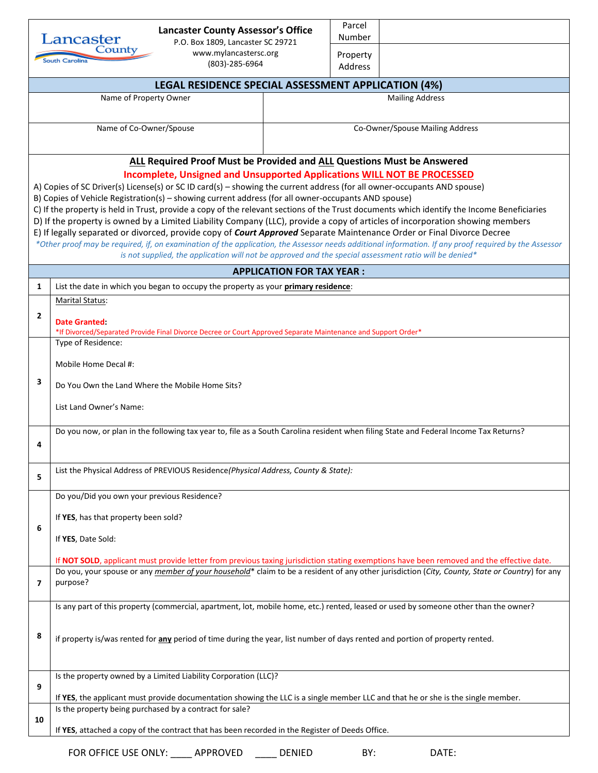|                                                                                                                                                                                                                                                                                                                                                                                                                                                                                                                                                                                                                                                                                                                                                                                                                                                                                                                                                                                         | <b>Lancaster County Assessor's Office</b><br>Lancaster<br>P.O. Box 1809, Lancaster SC 29721                                                                                                 |                                                                                                                                           | Parcel<br>Number                |  |  |  |  |  |
|-----------------------------------------------------------------------------------------------------------------------------------------------------------------------------------------------------------------------------------------------------------------------------------------------------------------------------------------------------------------------------------------------------------------------------------------------------------------------------------------------------------------------------------------------------------------------------------------------------------------------------------------------------------------------------------------------------------------------------------------------------------------------------------------------------------------------------------------------------------------------------------------------------------------------------------------------------------------------------------------|---------------------------------------------------------------------------------------------------------------------------------------------------------------------------------------------|-------------------------------------------------------------------------------------------------------------------------------------------|---------------------------------|--|--|--|--|--|
| County<br>www.mylancastersc.org<br>South Carolina<br>(803)-285-6964                                                                                                                                                                                                                                                                                                                                                                                                                                                                                                                                                                                                                                                                                                                                                                                                                                                                                                                     |                                                                                                                                                                                             |                                                                                                                                           | Property<br>Address             |  |  |  |  |  |
|                                                                                                                                                                                                                                                                                                                                                                                                                                                                                                                                                                                                                                                                                                                                                                                                                                                                                                                                                                                         | <b>LEGAL RESIDENCE SPECIAL ASSESSMENT APPLICATION (4%)</b>                                                                                                                                  |                                                                                                                                           |                                 |  |  |  |  |  |
|                                                                                                                                                                                                                                                                                                                                                                                                                                                                                                                                                                                                                                                                                                                                                                                                                                                                                                                                                                                         | Name of Property Owner<br><b>Mailing Address</b>                                                                                                                                            |                                                                                                                                           |                                 |  |  |  |  |  |
|                                                                                                                                                                                                                                                                                                                                                                                                                                                                                                                                                                                                                                                                                                                                                                                                                                                                                                                                                                                         | Name of Co-Owner/Spouse                                                                                                                                                                     |                                                                                                                                           | Co-Owner/Spouse Mailing Address |  |  |  |  |  |
| ALL Required Proof Must be Provided and ALL Questions Must be Answered                                                                                                                                                                                                                                                                                                                                                                                                                                                                                                                                                                                                                                                                                                                                                                                                                                                                                                                  |                                                                                                                                                                                             |                                                                                                                                           |                                 |  |  |  |  |  |
| Incomplete, Unsigned and Unsupported Applications WILL NOT BE PROCESSED<br>A) Copies of SC Driver(s) License(s) or SC ID card(s) – showing the current address (for all owner-occupants AND spouse)<br>B) Copies of Vehicle Registration(s) - showing current address (for all owner-occupants AND spouse)<br>C) If the property is held in Trust, provide a copy of the relevant sections of the Trust documents which identify the Income Beneficiaries<br>D) If the property is owned by a Limited Liability Company (LLC), provide a copy of articles of incorporation showing members<br>E) If legally separated or divorced, provide copy of Court Approved Separate Maintenance Order or Final Divorce Decree<br>*Other proof may be required, if, on examination of the application, the Assessor needs additional information. If any proof required by the Assessor<br>is not supplied, the application will not be approved and the special assessment ratio will be denied* |                                                                                                                                                                                             |                                                                                                                                           |                                 |  |  |  |  |  |
|                                                                                                                                                                                                                                                                                                                                                                                                                                                                                                                                                                                                                                                                                                                                                                                                                                                                                                                                                                                         |                                                                                                                                                                                             | <b>APPLICATION FOR TAX YEAR:</b>                                                                                                          |                                 |  |  |  |  |  |
| 1                                                                                                                                                                                                                                                                                                                                                                                                                                                                                                                                                                                                                                                                                                                                                                                                                                                                                                                                                                                       | List the date in which you began to occupy the property as your primary residence:                                                                                                          |                                                                                                                                           |                                 |  |  |  |  |  |
| $\overline{2}$                                                                                                                                                                                                                                                                                                                                                                                                                                                                                                                                                                                                                                                                                                                                                                                                                                                                                                                                                                          | Marital Status:<br>Date Granted:<br>*If Divorced/Separated Provide Final Divorce Decree or Court Approved Separate Maintenance and Support Order*                                           |                                                                                                                                           |                                 |  |  |  |  |  |
| 3                                                                                                                                                                                                                                                                                                                                                                                                                                                                                                                                                                                                                                                                                                                                                                                                                                                                                                                                                                                       | Type of Residence:<br>Mobile Home Decal #:                                                                                                                                                  |                                                                                                                                           |                                 |  |  |  |  |  |
|                                                                                                                                                                                                                                                                                                                                                                                                                                                                                                                                                                                                                                                                                                                                                                                                                                                                                                                                                                                         | Do You Own the Land Where the Mobile Home Sits?<br>List Land Owner's Name:                                                                                                                  |                                                                                                                                           |                                 |  |  |  |  |  |
| 4                                                                                                                                                                                                                                                                                                                                                                                                                                                                                                                                                                                                                                                                                                                                                                                                                                                                                                                                                                                       | Do you now, or plan in the following tax year to, file as a South Carolina resident when filing State and Federal Income Tax Returns?                                                       |                                                                                                                                           |                                 |  |  |  |  |  |
| 5                                                                                                                                                                                                                                                                                                                                                                                                                                                                                                                                                                                                                                                                                                                                                                                                                                                                                                                                                                                       | List the Physical Address of PREVIOUS Residence(Physical Address, County & State):                                                                                                          |                                                                                                                                           |                                 |  |  |  |  |  |
|                                                                                                                                                                                                                                                                                                                                                                                                                                                                                                                                                                                                                                                                                                                                                                                                                                                                                                                                                                                         | Do you/Did you own your previous Residence?                                                                                                                                                 |                                                                                                                                           |                                 |  |  |  |  |  |
|                                                                                                                                                                                                                                                                                                                                                                                                                                                                                                                                                                                                                                                                                                                                                                                                                                                                                                                                                                                         | If YES, has that property been sold?                                                                                                                                                        |                                                                                                                                           |                                 |  |  |  |  |  |
| 6                                                                                                                                                                                                                                                                                                                                                                                                                                                                                                                                                                                                                                                                                                                                                                                                                                                                                                                                                                                       | If YES, Date Sold:                                                                                                                                                                          |                                                                                                                                           |                                 |  |  |  |  |  |
|                                                                                                                                                                                                                                                                                                                                                                                                                                                                                                                                                                                                                                                                                                                                                                                                                                                                                                                                                                                         |                                                                                                                                                                                             | If NOT SOLD, applicant must provide letter from previous taxing jurisdiction stating exemptions have been removed and the effective date. |                                 |  |  |  |  |  |
| $\overline{ }$                                                                                                                                                                                                                                                                                                                                                                                                                                                                                                                                                                                                                                                                                                                                                                                                                                                                                                                                                                          | Do you, your spouse or any member of your household* claim to be a resident of any other jurisdiction (City, County, State or Country) for any<br>purpose?                                  |                                                                                                                                           |                                 |  |  |  |  |  |
|                                                                                                                                                                                                                                                                                                                                                                                                                                                                                                                                                                                                                                                                                                                                                                                                                                                                                                                                                                                         | Is any part of this property (commercial, apartment, lot, mobile home, etc.) rented, leased or used by someone other than the owner?                                                        |                                                                                                                                           |                                 |  |  |  |  |  |
| 8                                                                                                                                                                                                                                                                                                                                                                                                                                                                                                                                                                                                                                                                                                                                                                                                                                                                                                                                                                                       | if property is/was rented for any period of time during the year, list number of days rented and portion of property rented.                                                                |                                                                                                                                           |                                 |  |  |  |  |  |
|                                                                                                                                                                                                                                                                                                                                                                                                                                                                                                                                                                                                                                                                                                                                                                                                                                                                                                                                                                                         | Is the property owned by a Limited Liability Corporation (LLC)?                                                                                                                             |                                                                                                                                           |                                 |  |  |  |  |  |
| 9                                                                                                                                                                                                                                                                                                                                                                                                                                                                                                                                                                                                                                                                                                                                                                                                                                                                                                                                                                                       | If YES, the applicant must provide documentation showing the LLC is a single member LLC and that he or she is the single member.<br>Is the property being purchased by a contract for sale? |                                                                                                                                           |                                 |  |  |  |  |  |
| 10                                                                                                                                                                                                                                                                                                                                                                                                                                                                                                                                                                                                                                                                                                                                                                                                                                                                                                                                                                                      | If YES, attached a copy of the contract that has been recorded in the Register of Deeds Office.                                                                                             |                                                                                                                                           |                                 |  |  |  |  |  |
| FOR OFFICE USE ONLY:<br>APPROVED<br><b>DENIED</b><br>BY:<br>DATE:                                                                                                                                                                                                                                                                                                                                                                                                                                                                                                                                                                                                                                                                                                                                                                                                                                                                                                                       |                                                                                                                                                                                             |                                                                                                                                           |                                 |  |  |  |  |  |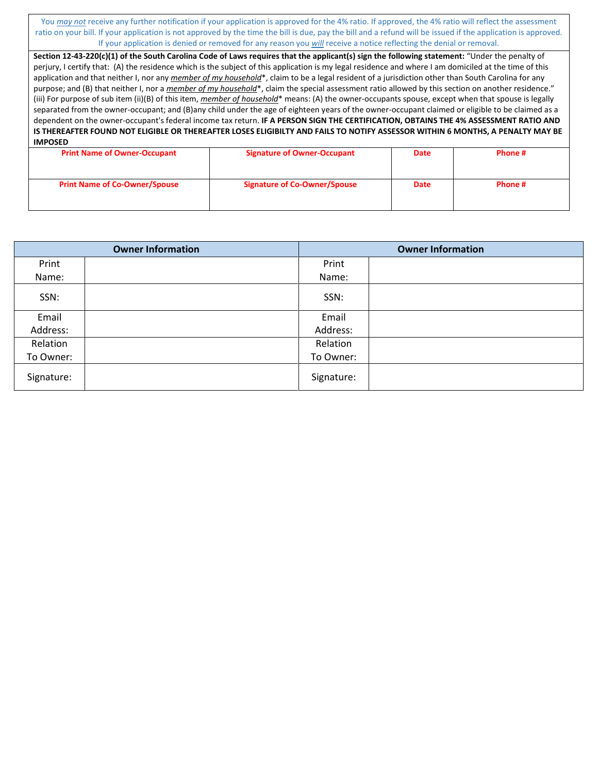You *may not* receive any further notification if your application is approved for the 4% ratio. If approved, the 4% ratio will reflect the assessment ratio on your bill. If your application is not approved by the time the bill is due, pay the bill and a refund will be issued if the application is approved. If your application is denied or removed for any reason you *will* receive a notice reflecting the denial or removal.

| Section 12-43-220(c)(1) of the South Carolina Code of Laws requires that the applicant(s) sign the following statement: "Under the penalty of          |  |  |  |  |  |  |
|--------------------------------------------------------------------------------------------------------------------------------------------------------|--|--|--|--|--|--|
| perjury, I certify that: (A) the residence which is the subject of this application is my legal residence and where I am domiciled at the time of this |  |  |  |  |  |  |
| application and that neither I, nor any member of my household*, claim to be a legal resident of a jurisdiction other than South Carolina for any      |  |  |  |  |  |  |
| purpose; and (B) that neither I, nor a member of my household*, claim the special assessment ratio allowed by this section on another residence."      |  |  |  |  |  |  |
| (iii) For purpose of sub item (ii)(B) of this item, member of household* means: (A) the owner-occupants spouse, except when that spouse is legally     |  |  |  |  |  |  |
| separated from the owner-occupant; and (B)any child under the age of eighteen years of the owner-occupant claimed or eligible to be claimed as a       |  |  |  |  |  |  |
| dependent on the owner-occupant's federal income tax return. IF A PERSON SIGN THE CERTIFICATION, OBTAINS THE 4% ASSESSMENT RATIO AND                   |  |  |  |  |  |  |
| IS THEREAFTER FOUND NOT ELIGIBLE OR THEREAFTER LOSES ELIGIBILTY AND FAILS TO NOTIFY ASSESSOR WITHIN 6 MONTHS, A PENALTY MAY BE                         |  |  |  |  |  |  |
| <b>IMPOSED</b>                                                                                                                                         |  |  |  |  |  |  |
|                                                                                                                                                        |  |  |  |  |  |  |

| <b>Print Name of Owner-Occupant</b>  | <b>Signature of Owner-Occupant</b>  | <b>Date</b> | Phone # |
|--------------------------------------|-------------------------------------|-------------|---------|
|                                      |                                     |             |         |
|                                      |                                     |             |         |
| <b>Print Name of Co-Owner/Spouse</b> | <b>Signature of Co-Owner/Spouse</b> | <b>Date</b> | Phone # |
|                                      |                                     |             |         |
|                                      |                                     |             |         |

|            | <b>Owner Information</b> | <b>Owner Information</b> |  |  |
|------------|--------------------------|--------------------------|--|--|
| Print      |                          | Print                    |  |  |
| Name:      |                          | Name:                    |  |  |
| SSN:       |                          | SSN:                     |  |  |
| Email      |                          | Email                    |  |  |
| Address:   |                          | Address:                 |  |  |
| Relation   |                          | Relation                 |  |  |
| To Owner:  |                          | To Owner:                |  |  |
| Signature: |                          | Signature:               |  |  |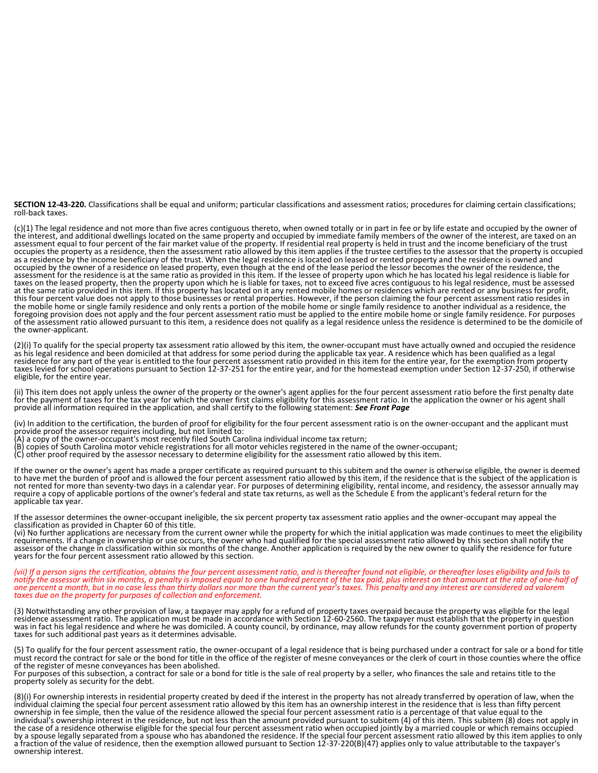**SECTION 12-43-220.** Classifications shall be equal and uniform; particular classifications and assessment ratios; procedures for claiming certain classifications; roll-back taxes.

(c)(1) The legal residence and not more than five acres contiguous thereto, when owned totally or in part in fee or by life estate and occupied by the owner of the interest, and additional dwellings located on the same property and occupied by immediate family members of the owner of the interest, are taxed on an assessment equal to four percent of the fair market value of the property. If residential real property is held in trust and the income beneficiary of the trust occupies the property as a residence, then the assessment ratio allowed by this item applies if the trustee certifies to the assessor that the property is occupied as a residence by the income beneficiary of the trust. When the legal residence is located on leased or rented property and the residence is owned and occupied by the owner of a residence on leased property, even though at the end of the lease period the lessor becomes the owner of the residence, the assessment for the residence is at the same ratio as provided in this item. If the lessee of property upon which he has located his legal residence is liable for taxes on the leased property, then the property upon which he is liable for taxes, not to exceed five acres contiguous to his legal residence, must be assessed at the same ratio provided in this item. If this property has located on it any rented mobile homes or residences which are rented or any business for profit, this four percent value does not apply to those businesses or rental properties. However, if the person claiming the four percent assessment ratio resides in the mobile home or single family residence and only rents a portion of the mobile home or single family residence to another individual as a residence, the foregoing provision does not apply and the four percent assessment ratio must be applied to the entire mobile home or single family residence. For purposes of the assessment ratio allowed pursuant to this item, a residence does not qualify as a legal residence unless the residence is determined to be the domicile of the owner-applicant.

(2)(i) To qualify for the special property tax assessment ratio allowed by this item, the owner-occupant must have actually owned and occupied the residence as his legal residence and been domiciled at that address for some period during the applicable tax year. A residence which has been qualified as a legal residence for any part of the year is entitled to the four percent assessment ratio provided in this item for the entire year, for the exemption from property taxes levied for school operations pursuant to Section 12-37-251 for the entire year, and for the homestead exemption under Section 12-37-250, if otherwise eligible, for the entire year.

(ii) This item does not apply unless the owner of the property or the owner's agent applies for the four percent assessment ratio before the first penalty date for the payment of taxes for the tax year for which the owner first claims eligibility for this assessment ratio. In the application the owner or his agent shall provide all information required in the application, and shall certify to the following statement: *See Front Page*

(iv) In addition to the certification, the burden of proof for eligibility for the four percent assessment ratio is on the owner-occupant and the applicant must<br>provide proof the assessor requires including, but not limite

- (A) a copy of the owner-occupant's most recently filed South Carolina individual income tax return;
- (B) copies of South Carolina motor vehicle registrations for all motor vehicles registered in the name of the owner-occupant;
- (C) other proof required by the assessor necessary to determine eligibility for the assessment ratio allowed by this item.

If the owner or the owner's agent has made a proper certificate as required pursuant to this subitem and the owner is otherwise eligible, the owner is deemed to have met the burden of proof and is allowed the four percent assessment ratio allowed by this item, if the residence that is the subject of the application is not rented for more than seventy-two days in a calendar year. For purposes of determining eligibility, rental income, and residency, the assessor annually may require a copy of applicable portions of the owner's federal and state tax returns, as well as the Schedule E from the applicant's federal return for the applicable tax year.

If the assessor determines the owner-occupant ineligible, the six percent property tax assessment ratio applies and the owner-occupant may appeal the classification as provided in Chapter 60 of this title.

(vi) No further applications are necessary from the current owner while the property for which the initial application was made continues to meet the eligibility requirements. If a change in ownership or use occurs, the owner who had qualified for the special assessment ratio allowed by this section shall notify the assessor of the change in classification within six months of the change. Another application is required by the new owner to qualify the residence for future years for the four percent assessment ratio allowed by this section.

*(vii) If a person signs the certification, obtains the four percent assessment ratio, and is thereafter found not eligible, or thereafter loses eligibility and fails to notify the assessor within six months, a penalty is imposed equal to one hundred percent of the tax paid, plus interest on that amount at the rate of one-half of one percent a month, but in no case less than thirty dollars nor more than the current year's taxes. This penalty and any interest are considered ad valorem taxes due on the property for purposes of collection and enforcement.*

(3) Notwithstanding any other provision of law, a taxpayer may apply for a refund of property taxes overpaid because the property was eligible for the legal<br>residence assessment ratio. The application must be made in accor was in fact his legal residence and where he was domiciled. A county council, by ordinance, may allow refunds for the county government portion of property taxes for such additional past years as it determines advisable.

(5) To qualify for the four percent assessment ratio, the owner-occupant of a legal residence that is being purchased under a contract for sale or a bond for title must record the contract for sale or the bond for title in the office of the register of mesne conveyances or the clerk of court in those counties where the office of the register of mesne conveyances has been abolished.

For purposes of this subsection, a contract for sale or a bond for title is the sale of real property by a seller, who finances the sale and retains title to the property solely as security for the debt.

(8)(i) For ownership interests in residential property created by deed if the interest in the property has not already transferred by operation of law, when the individual claiming the special four percent assessment ratio allowed by this item has an ownership interest in the residence that is less than fifty percent ownership in fee simple, then the value of the residence allowed the special four percent assessment ratio is a percentage of that value equal to the individual's ownership interest in the residence, but not less than the amount provided pursuant to subitem (4) of this item. This subitem (8) does not apply in the case of a residence otherwise eligible for the special four percent assessment ratio when occupied jointly by a married couple or which remains occupied<br>by a spouse legally separated from a spouse who has abandoned the a fraction of the value of residence, then the exemption allowed pursuant to Section 12-37-220(B)(47) applies only to value attributable to the taxpayer's ownership interest.